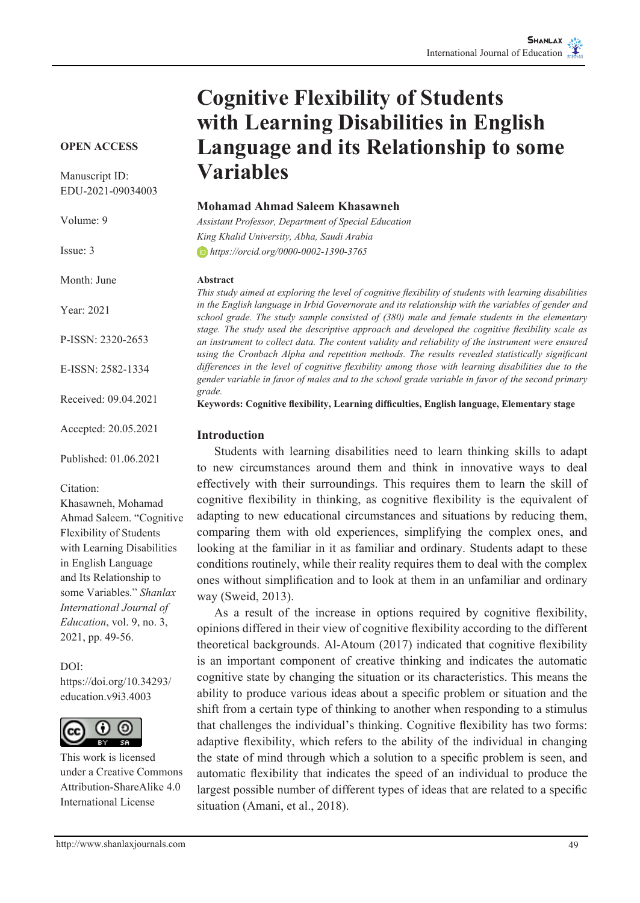# **Cognitive Flexibility of Students with Learning Disabilities in English Language and its Relationship to some Variables**

#### **OPEN ACCESS**

Manuscript ID: EDU-2021-09034003

Volume: 9

Issue: 3

Month: June

Year: 2021

P-ISSN: 2320-2653

E-ISSN: 2582-1334

Received: 09.04.2021

Accepted: 20.05.2021

Published: 01.06.2021

Citation:

Khasawneh, Mohamad Ahmad Saleem. "Cognitive Flexibility of Students with Learning Disabilities in English Language and Its Relationship to some Variables." *Shanlax International Journal of Education*, vol. 9, no. 3, 2021, pp. 49-56.

DOI:

https://doi.org/10.34293/ education.v9i3.4003



This work is licensed under a Creative Commons Attribution-ShareAlike 4.0 International License

**Mohamad Ahmad Saleem Khasawneh**

*Assistant Professor, Department of Special Education King Khalid University, Abha, Saudi Arabia https://orcid.org/0000-0002-1390-3765*

#### **Abstract**

*This study aimed at exploring the level of cognitive flexibility of students with learning disabilities in the English language in Irbid Governorate and its relationship with the variables of gender and school grade. The study sample consisted of (380) male and female students in the elementary stage. The study used the descriptive approach and developed the cognitive flexibility scale as an instrument to collect data. The content validity and reliability of the instrument were ensured using the Cronbach Alpha and repetition methods. The results revealed statistically significant differences in the level of cognitive flexibility among those with learning disabilities due to the gender variable in favor of males and to the school grade variable in favor of the second primary grade.*

**Keywords: Cognitive flexibility, Learning difficulties, English language, Elementary stage**

#### **Introduction**

Students with learning disabilities need to learn thinking skills to adapt to new circumstances around them and think in innovative ways to deal effectively with their surroundings. This requires them to learn the skill of cognitive flexibility in thinking, as cognitive flexibility is the equivalent of adapting to new educational circumstances and situations by reducing them, comparing them with old experiences, simplifying the complex ones, and looking at the familiar in it as familiar and ordinary. Students adapt to these conditions routinely, while their reality requires them to deal with the complex ones without simplification and to look at them in an unfamiliar and ordinary way (Sweid, 2013).

As a result of the increase in options required by cognitive flexibility, opinions differed in their view of cognitive flexibility according to the different theoretical backgrounds. Al-Atoum (2017) indicated that cognitive flexibility is an important component of creative thinking and indicates the automatic cognitive state by changing the situation or its characteristics. This means the ability to produce various ideas about a specific problem or situation and the shift from a certain type of thinking to another when responding to a stimulus that challenges the individual's thinking. Cognitive flexibility has two forms: adaptive flexibility, which refers to the ability of the individual in changing the state of mind through which a solution to a specific problem is seen, and automatic flexibility that indicates the speed of an individual to produce the largest possible number of different types of ideas that are related to a specific situation (Amani, et al., 2018).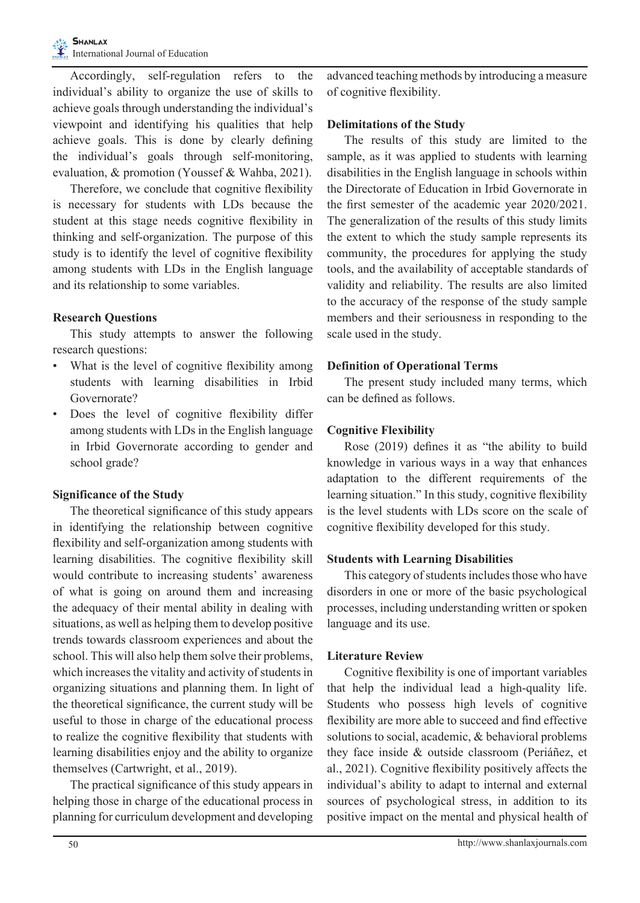Accordingly, self-regulation refers to the individual's ability to organize the use of skills to achieve goals through understanding the individual's viewpoint and identifying his qualities that help achieve goals. This is done by clearly defining the individual's goals through self-monitoring, evaluation, & promotion (Youssef & Wahba, 2021).

Therefore, we conclude that cognitive flexibility is necessary for students with LDs because the student at this stage needs cognitive flexibility in thinking and self-organization. The purpose of this study is to identify the level of cognitive flexibility among students with LDs in the English language and its relationship to some variables.

## **Research Questions**

This study attempts to answer the following research questions:

- What is the level of cognitive flexibility among students with learning disabilities in Irbid Governorate?
- Does the level of cognitive flexibility differ among students with LDs in the English language in Irbid Governorate according to gender and school grade?

# **Significance of the Study**

The theoretical significance of this study appears in identifying the relationship between cognitive flexibility and self-organization among students with learning disabilities. The cognitive flexibility skill would contribute to increasing students' awareness of what is going on around them and increasing the adequacy of their mental ability in dealing with situations, as well as helping them to develop positive trends towards classroom experiences and about the school. This will also help them solve their problems, which increases the vitality and activity of students in organizing situations and planning them. In light of the theoretical significance, the current study will be useful to those in charge of the educational process to realize the cognitive flexibility that students with learning disabilities enjoy and the ability to organize themselves (Cartwright, et al., 2019).

The practical significance of this study appears in helping those in charge of the educational process in planning for curriculum development and developing advanced teaching methods by introducing a measure of cognitive flexibility.

#### **Delimitations of the Study**

The results of this study are limited to the sample, as it was applied to students with learning disabilities in the English language in schools within the Directorate of Education in Irbid Governorate in the first semester of the academic year 2020/2021. The generalization of the results of this study limits the extent to which the study sample represents its community, the procedures for applying the study tools, and the availability of acceptable standards of validity and reliability. The results are also limited to the accuracy of the response of the study sample members and their seriousness in responding to the scale used in the study.

## **Definition of Operational Terms**

The present study included many terms, which can be defined as follows.

# **Cognitive Flexibility**

Rose (2019) defines it as "the ability to build knowledge in various ways in a way that enhances adaptation to the different requirements of the learning situation." In this study, cognitive flexibility is the level students with LDs score on the scale of cognitive flexibility developed for this study.

# **Students with Learning Disabilities**

This category of students includes those who have disorders in one or more of the basic psychological processes, including understanding written or spoken language and its use.

# **Literature Review**

Cognitive flexibility is one of important variables that help the individual lead a high-quality life. Students who possess high levels of cognitive flexibility are more able to succeed and find effective solutions to social, academic, & behavioral problems they face inside & outside classroom (Periáñez, et al., 2021). Cognitive flexibility positively affects the individual's ability to adapt to internal and external sources of psychological stress, in addition to its positive impact on the mental and physical health of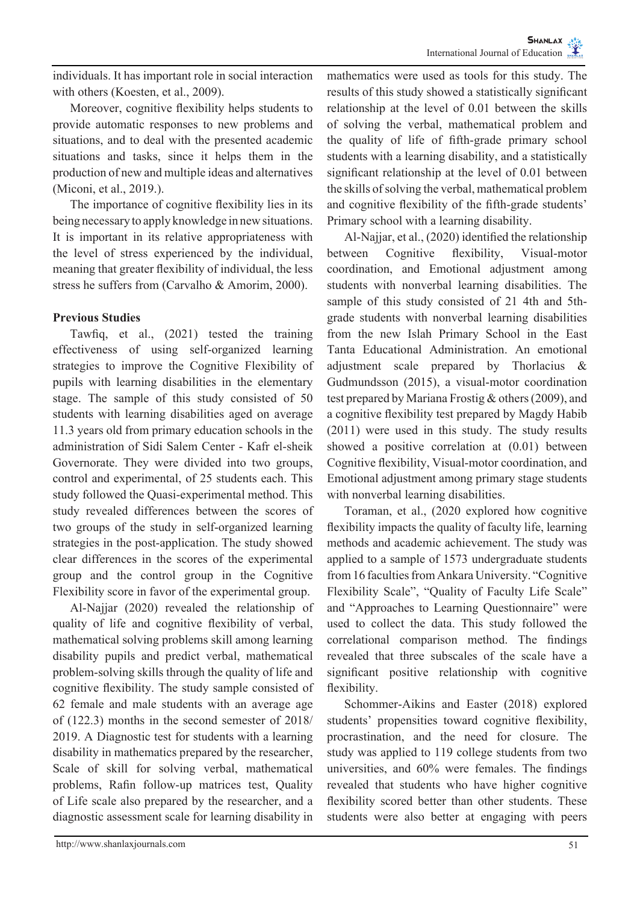individuals. It has important role in social interaction with others (Koesten, et al., 2009).

Moreover, cognitive flexibility helps students to provide automatic responses to new problems and situations, and to deal with the presented academic situations and tasks, since it helps them in the production of new and multiple ideas and alternatives (Miconi, et al., 2019.).

The importance of cognitive flexibility lies in its being necessary to apply knowledge in new situations. It is important in its relative appropriateness with the level of stress experienced by the individual, meaning that greater flexibility of individual, the less stress he suffers from (Carvalho & Amorim, 2000).

#### **Previous Studies**

Tawfiq, et al., (2021) tested the training effectiveness of using self-organized learning strategies to improve the Cognitive Flexibility of pupils with learning disabilities in the elementary stage. The sample of this study consisted of 50 students with learning disabilities aged on average 11.3 years old from primary education schools in the administration of Sidi Salem Center - Kafr el-sheik Governorate. They were divided into two groups, control and experimental, of 25 students each. This study followed the Quasi-experimental method. This study revealed differences between the scores of two groups of the study in self-organized learning strategies in the post-application. The study showed clear differences in the scores of the experimental group and the control group in the Cognitive Flexibility score in favor of the experimental group.

Al-Najjar (2020) revealed the relationship of quality of life and cognitive flexibility of verbal, mathematical solving problems skill among learning disability pupils and predict verbal, mathematical problem-solving skills through the quality of life and cognitive flexibility. The study sample consisted of 62 female and male students with an average age of (122.3) months in the second semester of 2018/ 2019. A Diagnostic test for students with a learning disability in mathematics prepared by the researcher, Scale of skill for solving verbal, mathematical problems, Rafin follow-up matrices test, Quality of Life scale also prepared by the researcher, and a diagnostic assessment scale for learning disability in

mathematics were used as tools for this study. The results of this study showed a statistically significant relationship at the level of 0.01 between the skills of solving the verbal, mathematical problem and the quality of life of fifth-grade primary school students with a learning disability, and a statistically significant relationship at the level of 0.01 between the skills of solving the verbal, mathematical problem and cognitive flexibility of the fifth-grade students' Primary school with a learning disability.

Al-Najjar, et al., (2020) identified the relationship between Cognitive flexibility, Visual-motor coordination, and Emotional adjustment among students with nonverbal learning disabilities. The sample of this study consisted of 21 4th and 5thgrade students with nonverbal learning disabilities from the new Islah Primary School in the East Tanta Educational Administration. An emotional adjustment scale prepared by Thorlacius & Gudmundsson (2015), a visual-motor coordination test prepared by Mariana Frostig & others (2009), and a cognitive flexibility test prepared by Magdy Habib (2011) were used in this study. The study results showed a positive correlation at (0.01) between Cognitive flexibility, Visual-motor coordination, and Emotional adjustment among primary stage students with nonverbal learning disabilities.

Toraman, et al., (2020 explored how cognitive flexibility impacts the quality of faculty life, learning methods and academic achievement. The study was applied to a sample of 1573 undergraduate students from 16 faculties from Ankara University. "Cognitive Flexibility Scale", "Quality of Faculty Life Scale" and "Approaches to Learning Questionnaire" were used to collect the data. This study followed the correlational comparison method. The findings revealed that three subscales of the scale have a significant positive relationship with cognitive flexibility.

Schommer-Aikins and Easter (2018) explored students' propensities toward cognitive flexibility, procrastination, and the need for closure. The study was applied to 119 college students from two universities, and 60% were females. The findings revealed that students who have higher cognitive flexibility scored better than other students. These students were also better at engaging with peers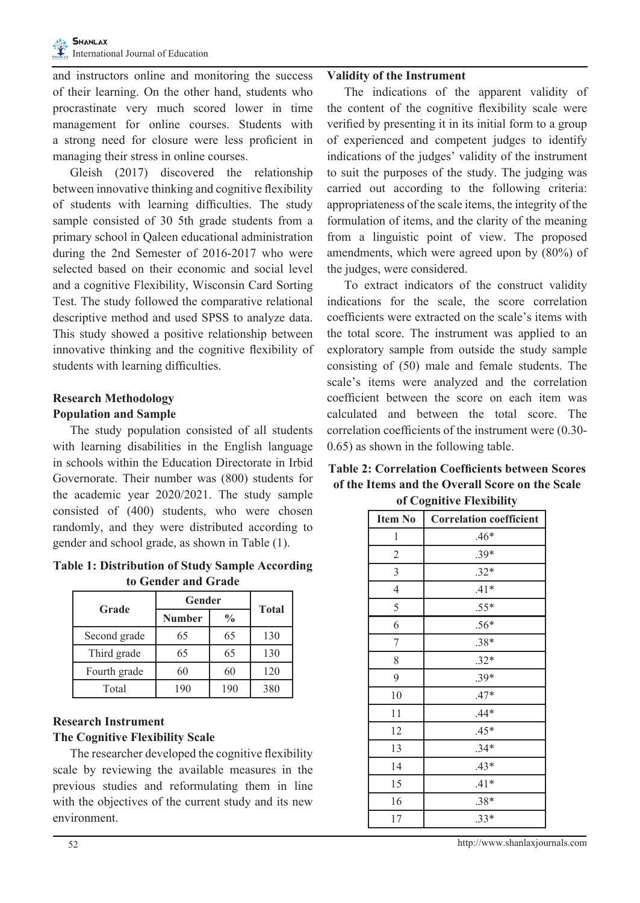and instructors online and monitoring the success of their learning. On the other hand, students who procrastinate very much scored lower in time management for online courses. Students with a strong need for closure were less proficient in managing their stress in online courses.

Gleish (2017) discovered the relationship between innovative thinking and cognitive flexibility of students with learning difficulties. The study sample consisted of 30 5th grade students from a primary school in Qaleen educational administration during the 2nd Semester of 2016-2017 who were selected based on their economic and social level and a cognitive Flexibility, Wisconsin Card Sorting Test. The study followed the comparative relational descriptive method and used SPSS to analyze data. This study showed a positive relationship between innovative thinking and the cognitive flexibility of students with learning difficulties.

## **Research Methodology Population and Sample**

The study population consisted of all students with learning disabilities in the English language in schools within the Education Directorate in Irbid Governorate. Their number was (800) students for the academic year 2020/2021. The study sample consisted of (400) students, who were chosen randomly, and they were distributed according to gender and school grade, as shown in Table (1).

**Table 1: Distribution of Study Sample According to Gender and Grade**

| Grade        | Gender        | <b>Total</b>  |     |
|--------------|---------------|---------------|-----|
|              | <b>Number</b> | $\frac{0}{0}$ |     |
| Second grade | 65            | 65            | 130 |
| Third grade  | 65            | 65            | 130 |
| Fourth grade | 60            | 60            | 120 |
| Total        | 190           | 190           | 380 |

## **Research Instrument The Cognitive Flexibility Scale**

The researcher developed the cognitive flexibility scale by reviewing the available measures in the previous studies and reformulating them in line with the objectives of the current study and its new environment.

#### **Validity of the Instrument**

The indications of the apparent validity of the content of the cognitive flexibility scale were verified by presenting it in its initial form to a group of experienced and competent judges to identify indications of the judges' validity of the instrument to suit the purposes of the study. The judging was carried out according to the following criteria: appropriateness of the scale items, the integrity of the formulation of items, and the clarity of the meaning from a linguistic point of view. The proposed amendments, which were agreed upon by (80%) of the judges, were considered.

To extract indicators of the construct validity indications for the scale, the score correlation coefficients were extracted on the scale's items with the total score. The instrument was applied to an exploratory sample from outside the study sample consisting of (50) male and female students. The scale's items were analyzed and the correlation coefficient between the score on each item was calculated and between the total score. The correlation coefficients of the instrument were (0.30- 0.65) as shown in the following table.

| <b>Table 2: Correlation Coefficients between Scores</b> |
|---------------------------------------------------------|
| of the Items and the Overall Score on the Scale         |
| of Cognitive Flexibility                                |

| <b>Item No</b>   | <b>Correlation coefficient</b> |
|------------------|--------------------------------|
| 1                | $.46*$                         |
| $\overline{2}$   | $.39*$                         |
| 3                | $.32*$                         |
| $\overline{4}$   | $.41*$                         |
| 5                | $.55*$                         |
| 6                | $.56*$                         |
| $\boldsymbol{7}$ | .38*                           |
| 8                | $.32*$                         |
| 9                | $.39*$                         |
| 10               | $.47*$                         |
| 11               | $.44*$                         |
| 12               | $.45*$                         |
| 13               | $.34*$                         |
| 14               | $.43*$                         |
| 15               | $.41*$                         |
| 16               | $.38*$                         |
| 17               | $.33*$                         |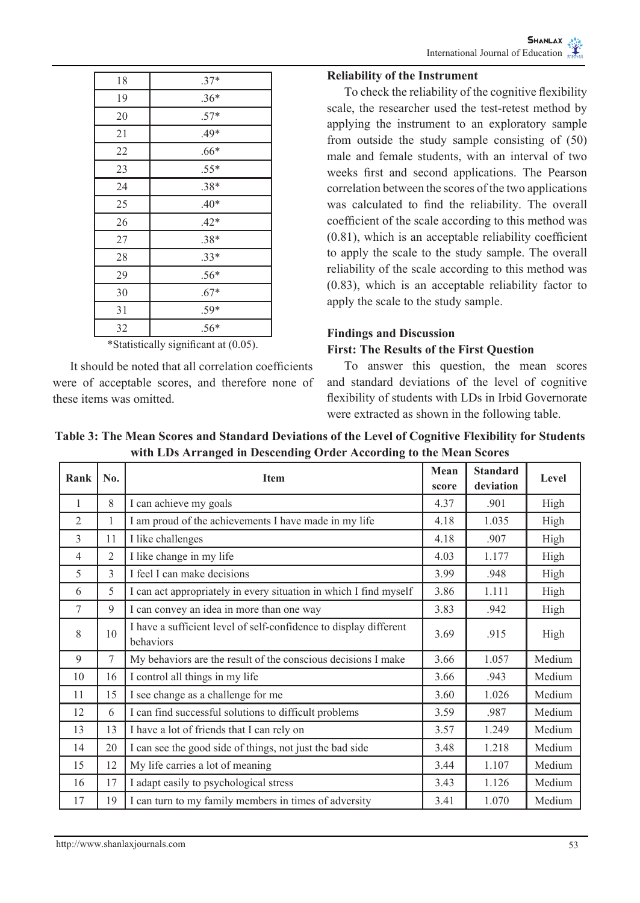| 18                  | $.37*$             |
|---------------------|--------------------|
| 19                  | $.36*$             |
| 20                  | $.57*$             |
| 21                  | $.49*$             |
| 22                  | $.66*$             |
| 23                  | $.55*$             |
| 24                  | $.38*$             |
| 25                  | $.40*$             |
| 26                  | $.42*$             |
| 27                  | $.38*$             |
| 28                  | $.33*$             |
| 29                  | $.56*$             |
| 30                  | $.67*$             |
| 31                  | $.59*$             |
| 32                  | $.56*$             |
| ٠<br>$\blacksquare$ | ٠<br>$\sim$<br>- - |

\*Statistically significant at (0.05).

It should be noted that all correlation coefficients were of acceptable scores, and therefore none of these items was omitted.

#### **Reliability of the Instrument**

To check the reliability of the cognitive flexibility scale, the researcher used the test-retest method by applying the instrument to an exploratory sample from outside the study sample consisting of (50) male and female students, with an interval of two weeks first and second applications. The Pearson correlation between the scores of the two applications was calculated to find the reliability. The overall coefficient of the scale according to this method was (0.81), which is an acceptable reliability coefficient to apply the scale to the study sample. The overall reliability of the scale according to this method was (0.83), which is an acceptable reliability factor to apply the scale to the study sample.

#### **Findings and Discussion**

#### **First: The Results of the First Question**

To answer this question, the mean scores and standard deviations of the level of cognitive flexibility of students with LDs in Irbid Governorate were extracted as shown in the following table.

| Table 3: The Mean Scores and Standard Deviations of the Level of Cognitive Flexibility for Students |  |
|-----------------------------------------------------------------------------------------------------|--|
| with LDs Arranged in Descending Order According to the Mean Scores                                  |  |

| Rank           | No.            | <b>Item</b>                                                                    |      | <b>Standard</b><br>deviation | Level  |
|----------------|----------------|--------------------------------------------------------------------------------|------|------------------------------|--------|
| 1              | 8              | I can achieve my goals                                                         | 4.37 | .901                         | High   |
| $\mathfrak{D}$ | 1              | I am proud of the achievements I have made in my life                          | 4.18 | 1.035                        | High   |
| 3              | 11             | I like challenges                                                              | 4.18 | .907                         | High   |
| $\overline{4}$ | $\overline{2}$ | I like change in my life                                                       | 4.03 | 1.177                        | High   |
| 5              | 3              | I feel I can make decisions                                                    | 3.99 | .948                         | High   |
| 6              | 5              | I can act appropriately in every situation in which I find myself              | 3.86 | 1.111                        | High   |
| $\tau$         | 9              | I can convey an idea in more than one way                                      | 3.83 | .942                         | High   |
| 8              | 10             | I have a sufficient level of self-confidence to display different<br>behaviors |      | .915                         | High   |
| 9              | $\tau$         | My behaviors are the result of the conscious decisions I make                  |      | 1.057                        | Medium |
| 10             | 16             | I control all things in my life                                                |      | .943                         | Medium |
| 11             | 15             | I see change as a challenge for me                                             |      | 1.026                        | Medium |
| 12             | 6              | I can find successful solutions to difficult problems                          | 3.59 | .987                         | Medium |
| 13             | 13             | I have a lot of friends that I can rely on                                     |      | 1.249                        | Medium |
| 14             | 20             | I can see the good side of things, not just the bad side                       |      | 1.218                        | Medium |
| 15             | 12             | My life carries a lot of meaning                                               |      | 1.107                        | Medium |
| 16             | 17             | I adapt easily to psychological stress                                         |      | 1.126                        | Medium |
| 17             | 19             | I can turn to my family members in times of adversity                          | 3.41 | 1.070                        | Medium |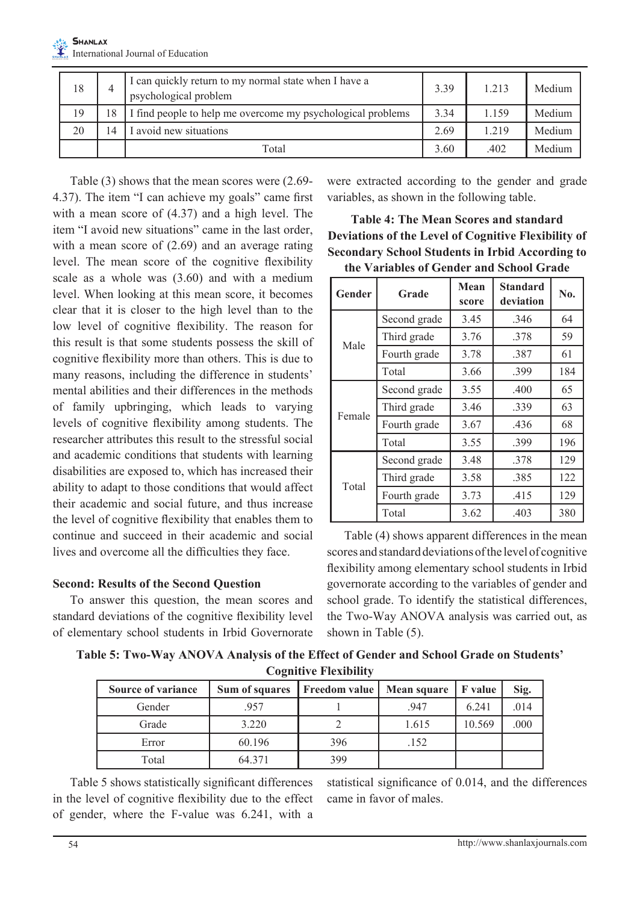| 18 | I can quickly return to my normal state when I have a<br>psychological problem |       | 3.39 | 1.213 | Medium |
|----|--------------------------------------------------------------------------------|-------|------|-------|--------|
| 19 | 8<br>I find people to help me overcome my psychological problems               |       | 3.34 | 1.159 | Medium |
| 20 | I avoid new situations<br>4                                                    |       | 2.69 | 1.219 | Medium |
|    |                                                                                | Total | 3.60 | .402  | Medium |

Table (3) shows that the mean scores were (2.69- 4.37). The item "I can achieve my goals" came first with a mean score of (4.37) and a high level. The item "I avoid new situations" came in the last order, with a mean score of  $(2.69)$  and an average rating level. The mean score of the cognitive flexibility scale as a whole was (3.60) and with a medium level. When looking at this mean score, it becomes clear that it is closer to the high level than to the low level of cognitive flexibility. The reason for this result is that some students possess the skill of cognitive flexibility more than others. This is due to many reasons, including the difference in students' mental abilities and their differences in the methods of family upbringing, which leads to varying levels of cognitive flexibility among students. The researcher attributes this result to the stressful social and academic conditions that students with learning disabilities are exposed to, which has increased their ability to adapt to those conditions that would affect their academic and social future, and thus increase the level of cognitive flexibility that enables them to continue and succeed in their academic and social lives and overcome all the difficulties they face.

#### **Second: Results of the Second Question**

To answer this question, the mean scores and standard deviations of the cognitive flexibility level of elementary school students in Irbid Governorate

were extracted according to the gender and grade variables, as shown in the following table.

| <b>Table 4: The Mean Scores and standard</b>           |
|--------------------------------------------------------|
| Deviations of the Level of Cognitive Flexibility of    |
| <b>Secondary School Students in Irbid According to</b> |
| the Variables of Gender and School Grade               |

| Gender<br>Grade |              | Mean<br>score | <b>Standard</b><br>deviation | No. |
|-----------------|--------------|---------------|------------------------------|-----|
|                 | Second grade | 3.45          | .346                         | 64  |
| Male            | Third grade  | 3.76          | .378                         | 59  |
|                 | Fourth grade | 3.78          | .387                         | 61  |
|                 | Total        | 3.66          | 399                          | 184 |
|                 | Second grade | 3.55          | .400                         | 65  |
|                 | Third grade  | 3.46          | 339                          | 63  |
| Female          | Fourth grade | 3.67          | .436                         | 68  |
|                 | Total        | 3.55          | .399                         | 196 |
| Total           | Second grade | 3.48          | .378                         | 129 |
|                 | Third grade  | 3.58          | .385                         | 122 |
|                 | Fourth grade | 3.73          | .415                         | 129 |
|                 | Total        | 3.62          | .403                         | 380 |

Table (4) shows apparent differences in the mean scores and standard deviations of the level of cognitive flexibility among elementary school students in Irbid governorate according to the variables of gender and school grade. To identify the statistical differences, the Two-Way ANOVA analysis was carried out, as shown in Table (5).

**Table 5: Two-Way ANOVA Analysis of the Effect of Gender and School Grade on Students' Cognitive Flexibility**

| <b>Source of variance</b> | Sum of squares | Freedom value | Mean square   F value |        | Sig. |
|---------------------------|----------------|---------------|-----------------------|--------|------|
| Gender                    | 957            |               | .947                  | 6.241  | .014 |
| Grade                     | 3.220          |               | 1.615                 | 10.569 | .000 |
| Error                     | 60.196         | 396           | .152                  |        |      |
| Total                     | 64.371         | 399           |                       |        |      |

Table 5 shows statistically significant differences in the level of cognitive flexibility due to the effect of gender, where the F-value was 6.241, with a

statistical significance of 0.014, and the differences came in favor of males.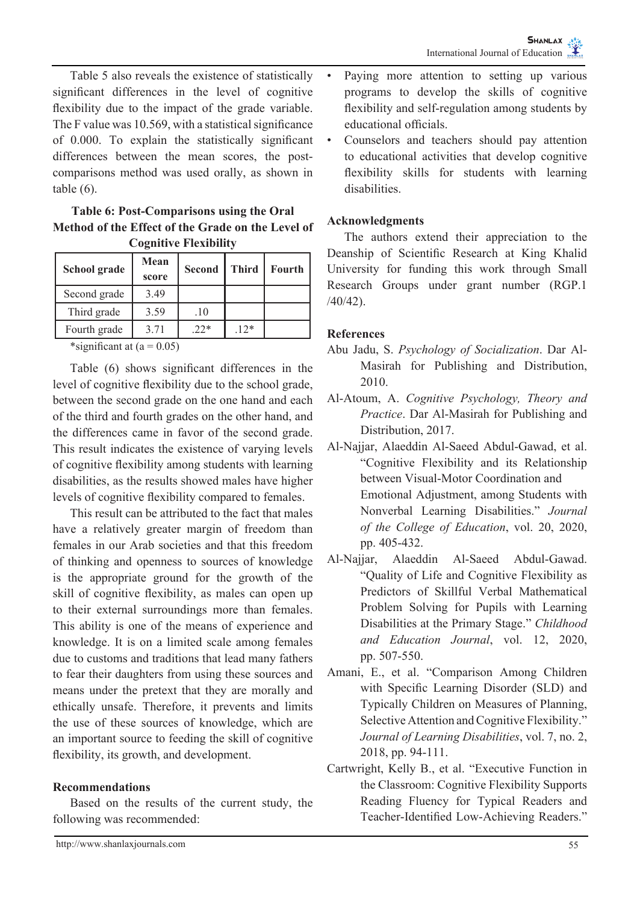Table 5 also reveals the existence of statistically significant differences in the level of cognitive flexibility due to the impact of the grade variable. The F value was 10.569, with a statistical significance of 0.000. To explain the statistically significant differences between the mean scores, the postcomparisons method was used orally, as shown in table (6).

#### **Table 6: Post-Comparisons using the Oral Method of the Effect of the Grade on the Level of Cognitive Flexibility**

| School grade                                          | Mean<br>score | <b>Second</b> | <b>Third</b> | Fourth |  |  |
|-------------------------------------------------------|---------------|---------------|--------------|--------|--|--|
| Second grade                                          | 3.49          |               |              |        |  |  |
| Third grade                                           | 3.59          | .10           |              |        |  |  |
| Fourth grade                                          | 3.71          | $.22*$        | $.12*$       |        |  |  |
| $\cdot$ $\sim$<br>$-1$ . $-1$<br>$\sim$ $\sim$ $\sim$ |               |               |              |        |  |  |

\*significant at  $(a = 0.05)$ 

Table (6) shows significant differences in the level of cognitive flexibility due to the school grade, between the second grade on the one hand and each of the third and fourth grades on the other hand, and the differences came in favor of the second grade. This result indicates the existence of varying levels of cognitive flexibility among students with learning disabilities, as the results showed males have higher levels of cognitive flexibility compared to females.

This result can be attributed to the fact that males have a relatively greater margin of freedom than females in our Arab societies and that this freedom of thinking and openness to sources of knowledge is the appropriate ground for the growth of the skill of cognitive flexibility, as males can open up to their external surroundings more than females. This ability is one of the means of experience and knowledge. It is on a limited scale among females due to customs and traditions that lead many fathers to fear their daughters from using these sources and means under the pretext that they are morally and ethically unsafe. Therefore, it prevents and limits the use of these sources of knowledge, which are an important source to feeding the skill of cognitive flexibility, its growth, and development.

#### **Recommendations**

Based on the results of the current study, the following was recommended:

- Paying more attention to setting up various programs to develop the skills of cognitive flexibility and self-regulation among students by educational officials.
- Counselors and teachers should pay attention to educational activities that develop cognitive flexibility skills for students with learning disabilities.

## **Acknowledgments**

The authors extend their appreciation to the Deanship of Scientific Research at King Khalid University for funding this work through Small Research Groups under grant number (RGP.1 /40/42).

## **References**

- Abu Jadu, S. *Psychology of Socialization*. Dar Al-Masirah for Publishing and Distribution, 2010.
- Al-Atoum, A. *Cognitive Psychology, Theory and Practice*. Dar Al-Masirah for Publishing and Distribution, 2017.
- Al-Najjar, Alaeddin Al-Saeed Abdul-Gawad, et al. "Cognitive Flexibility and its Relationship between Visual-Motor Coordination and Emotional Adjustment, among Students with Nonverbal Learning Disabilities." *Journal of the College of Education*, vol. 20, 2020, pp. 405-432.
- Al-Najjar, Alaeddin Al-Saeed Abdul-Gawad. "Quality of Life and Cognitive Flexibility as Predictors of Skillful Verbal Mathematical Problem Solving for Pupils with Learning Disabilities at the Primary Stage." *Childhood and Education Journal*, vol. 12, 2020, pp. 507-550.
- Amani, E., et al. "Comparison Among Children with Specific Learning Disorder (SLD) and Typically Children on Measures of Planning, Selective Attention and Cognitive Flexibility." *Journal of Learning Disabilities*, vol. 7, no. 2, 2018, pp. 94-111.
- Cartwright, Kelly B., et al. "Executive Function in the Classroom: Cognitive Flexibility Supports Reading Fluency for Typical Readers and Teacher-Identified Low-Achieving Readers."